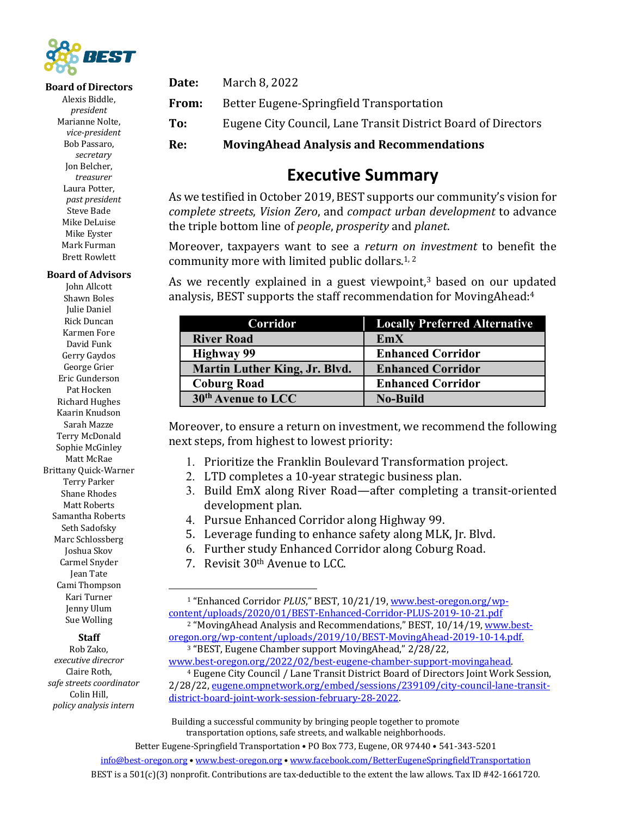

#### **Board of Directors**

Alexis Biddle, *president* Marianne Nolte, *vice-president* Bob Passaro, *secretary* Jon Belcher, *treasurer* Laura Potter, *past president* Steve Bade Mike DeLuise Mike Eyster Mark Furman **Brett Rowlett** 

### **Board of Advisors**

John Allcott Shawn Boles Julie Daniel Rick Duncan Karmen Fore David Funk Gerry Gaydos George Grier Eric Gunderson Pat Hocken **Richard Hughes** Kaarin Knudson Sarah Mazze Terry McDonald Sophie McGinley Matt McRae Brittany Quick-Warner Terry Parker Shane Rhodes Matt Roberts Samantha Roberts Seth Sadofsky Marc Schlossberg Joshua Skov Carmel Snyder Jean Tate Cami Thompson Kari Turner Jenny Ulum Sue Wolling

### **Staff**

Rob Zako, *executive direcror* Claire Roth, *safe streets coordinator* Colin Hill, *policy analysis intern*

**Date:** March 8, 2022 **From:** Better Eugene-Springfield Transportation **To:** Eugene City Council, Lane Transit District Board of Directors **Re: MovingAhead Analysis and Recommendations**

### **Executive Summary**

As we testified in October 2019, BEST supports our community's vision for *complete streets*, *Vision Zero*, and *compact urban development* to advance the triple bottom line of *people*, *prosperity* and *planet*.

Moreover, taxpayers want to see a *return on investment* to benefit the community more with limited public dollars.<sup>1,2</sup>

As we recently explained in a guest viewpoint, $3$  based on our updated analysis, BEST supports the staff recommendation for MovingAhead: $4$ 

| Corridor                             | <b>Locally Preferred Alternative</b> |
|--------------------------------------|--------------------------------------|
| <b>River Road</b>                    | EmX                                  |
| <b>Highway 99</b>                    | <b>Enhanced Corridor</b>             |
| <b>Martin Luther King, Jr. Blvd.</b> | <b>Enhanced Corridor</b>             |
| <b>Coburg Road</b>                   | <b>Enhanced Corridor</b>             |
| 30 <sup>th</sup> Avenue to LCC       | <b>No-Build</b>                      |

Moreover, to ensure a return on investment, we recommend the following next steps, from highest to lowest priority:

- 1. Prioritize the Franklin Boulevard Transformation project.
- 2. LTD completes a 10-year strategic business plan.
- 3. Build EmX along River Road—after completing a transit-oriented development plan.
- 4. Pursue Enhanced Corridor along Highway 99.
- 5. Leverage funding to enhance safety along MLK, Jr. Blvd.
- 6. Further study Enhanced Corridor along Coburg Road.
- 7. Revisit  $30<sup>th</sup>$  Avenue to LCC.

<sup>&</sup>lt;sup>1</sup> "Enhanced Corridor *PLUS*," BEST, 10/21/19, www.best-oregon.org/wpcontent/uploads/2020/01/BEST-Enhanced-Corridor-PLUS-2019-10-21.pdf <sup>2</sup> "MovingAhead Analysis and Recommendations," BEST, 10/14/19, www.bestoregon.org/wp-content/uploads/2019/10/BEST-MovingAhead-2019-10-14.pdf. <sup>3</sup> "BEST, Eugene Chamber support MovingAhead," 2/28/22,

www.best-oregon.org/2022/02/best-eugene-chamber-support-movingahead. <sup>4</sup> Eugene City Council / Lane Transit District Board of Directors Joint Work Session, 2/28/22, eugene.ompnetwork.org/embed/sessions/239109/city-council-lane-transitdistrict-board-joint-work-session-february-28-2022.

Building a successful community by bringing people together to promote transportation options, safe streets, and walkable neighborhoods.

Better Eugene-Springfield Transportation . PO Box 773, Eugene, OR 97440 . 541-343-5201

info@best-oregon.org • www.best-oregon.org • www.facebook.com/BetterEugeneSpringfieldTransportation

BEST is a  $501(c)(3)$  nonprofit. Contributions are tax-deductible to the extent the law allows. Tax ID #42-1661720.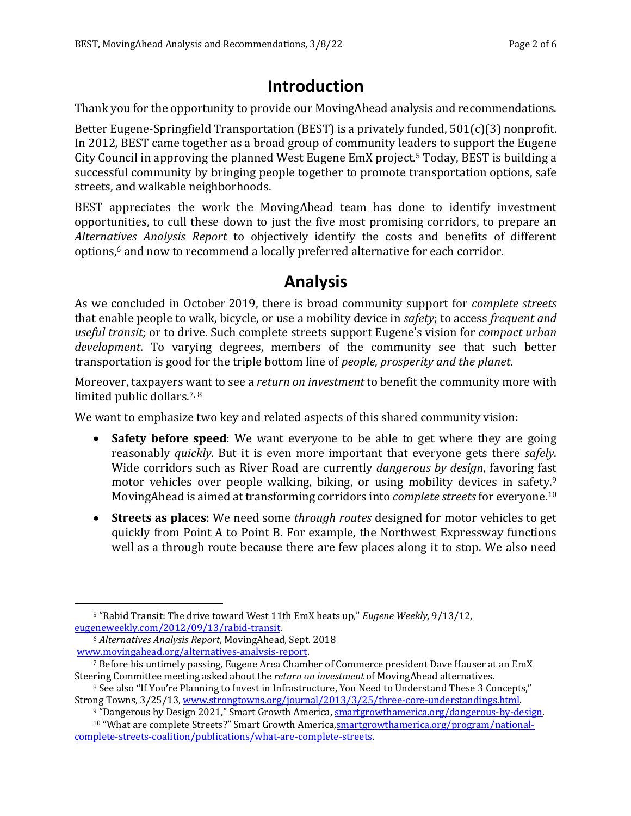## **Introduction**

Thank you for the opportunity to provide our MovingAhead analysis and recommendations.

Better Eugene-Springfield Transportation (BEST) is a privately funded,  $501(c)(3)$  nonprofit. In 2012, BEST came together as a broad group of community leaders to support the Eugene City Council in approving the planned West Eugene EmX project.<sup>5</sup> Today, BEST is building a successful community by bringing people together to promote transportation options, safe streets, and walkable neighborhoods.

BEST appreciates the work the MovingAhead team has done to identify investment opportunities, to cull these down to just the five most promising corridors, to prepare an Alternatives Analysis Report to objectively identify the costs and benefits of different options,<sup>6</sup> and now to recommend a locally preferred alternative for each corridor.

## **Analysis**

As we concluded in October 2019, there is broad community support for *complete streets* that enable people to walk, bicycle, or use a mobility device in *safety*; to access *frequent and useful transit*; or to drive. Such complete streets support Eugene's vision for *compact urban* development. To varying degrees, members of the community see that such better transportation is good for the triple bottom line of *people, prosperity and the planet*.

Moreover, taxpayers want to see a *return on investment* to benefit the community more with limited public dollars.<sup>7, 8</sup>

We want to emphasize two key and related aspects of this shared community vision:

- **Safety before speed**: We want everyone to be able to get where they are going reasonably *quickly*. But it is even more important that everyone gets there *safely*. Wide corridors such as River Road are currently *dangerous by design*, favoring fast motor vehicles over people walking, biking, or using mobility devices in safety.<sup>9</sup> MovingAhead is aimed at transforming corridors into *complete streets* for everyone.<sup>10</sup>
- Streets as places: We need some *through routes* designed for motor vehicles to get quickly from Point A to Point B. For example, the Northwest Expressway functions well as a through route because there are few places along it to stop. We also need

<sup>&</sup>lt;sup>5</sup> "Rabid Transit: The drive toward West 11th EmX heats up," *Eugene Weekly*, 9/13/12, eugeneweekly.com/2012/09/13/rabid-transit.

<sup>&</sup>lt;sup>6</sup> Alternatives Analysis Report, MovingAhead, Sept. 2018 www.movingahead.org/alternatives-analysis-report.

<sup>&</sup>lt;sup>7</sup> Before his untimely passing, Eugene Area Chamber of Commerce president Dave Hauser at an EmX Steering Committee meeting asked about the *return on investment* of MovingAhead alternatives.

<sup>&</sup>lt;sup>8</sup> See also "If You're Planning to Invest in Infrastructure, You Need to Understand These 3 Concepts," Strong Towns,  $3/25/13$ , www.strongtowns.org/journal/2013/3/25/three-core-understandings.html.

<sup>&</sup>lt;sup>9</sup> "Dangerous by Design 2021," Smart Growth America, smartgrowthamerica.org/dangerous-by-design.

<sup>&</sup>lt;sup>10</sup> "What are complete Streets?" Smart Growth America, smartgrowthamerica.org/program/nationalcomplete-streets-coalition/publications/what-are-complete-streets.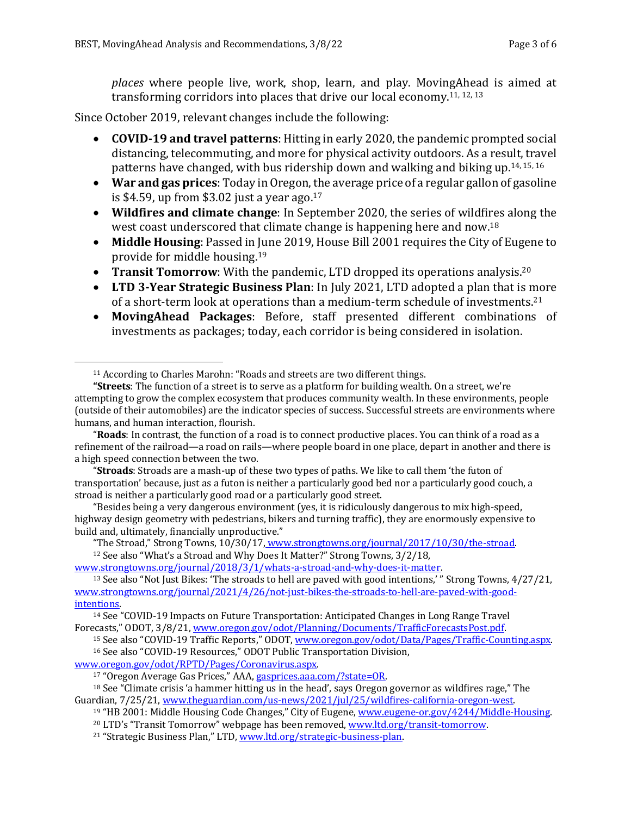*places* where people live, work, shop, learn, and play. MovingAhead is aimed at transforming corridors into places that drive our local economy.<sup>11, 12, 13</sup>

Since October 2019, relevant changes include the following:

- **COVID-19 and travel patterns**: Hitting in early 2020, the pandemic prompted social distancing, telecommuting, and more for physical activity outdoors. As a result, travel patterns have changed, with bus ridership down and walking and biking up.<sup>14, 15, 16</sup>
- War and gas prices: Today in Oregon, the average price of a regular gallon of gasoline is \$4.59, up from \$3.02 just a year ago.<sup>17</sup>
- **Wildfires and climate change**: In September 2020, the series of wildfires along the west coast underscored that climate change is happening here and now.<sup>18</sup>
- Middle Housing: Passed in June 2019, House Bill 2001 requires the City of Eugene to provide for middle housing.<sup>19</sup>
- **Transit Tomorrow**: With the pandemic, LTD dropped its operations analysis.<sup>20</sup>
- LTD 3-Year Strategic Business Plan: In July 2021, LTD adopted a plan that is more of a short-term look at operations than a medium-term schedule of investments.<sup>21</sup>
- MovingAhead Packages: Before, staff presented different combinations of investments as packages; today, each corridor is being considered in isolation.

"Stroads: Stroads are a mash-up of these two types of paths. We like to call them 'the futon of transportation' because, just as a futon is neither a particularly good bed nor a particularly good couch, a stroad is neither a particularly good road or a particularly good street.

"Besides being a very dangerous environment (yes, it is ridiculously dangerous to mix high-speed, highway design geometry with pedestrians, bikers and turning traffic), they are enormously expensive to build and, ultimately, financially unproductive."

"The Stroad," Strong Towns, 10/30/17, www.strongtowns.org/journal/2017/10/30/the-stroad.

<sup>12</sup> See also "What's a Stroad and Why Does It Matter?" Strong Towns, 3/2/18,

www.strongtowns.org/journal/2018/3/1/whats-a-stroad-and-why-does-it-matter.

www.oregon.gov/odot/RPTD/Pages/Coronavirus.aspx.

 $11$  According to Charles Marohn: "Roads and streets are two different things.

**<sup>&</sup>quot;Streets:** The function of a street is to serve as a platform for building wealth. On a street, we're attempting to grow the complex ecosystem that produces community wealth. In these environments, people (outside of their automobiles) are the indicator species of success. Successful streets are environments where humans, and human interaction, flourish.

<sup>&</sup>quot;Roads: In contrast, the function of a road is to connect productive places. You can think of a road as a refinement of the railroad—a road on rails—where people board in one place, depart in another and there is a high speed connection between the two.

<sup>&</sup>lt;sup>13</sup> See also "Not Just Bikes: 'The stroads to hell are paved with good intentions,' " Strong Towns, 4/27/21, www.strongtowns.org/journal/2021/4/26/not-just-bikes-the-stroads-to-hell-are-paved-with-goodintentions.

<sup>&</sup>lt;sup>14</sup> See "COVID-19 Impacts on Future Transportation: Anticipated Changes in Long Range Travel Forecasts," ODOT, 3/8/21, www.oregon.gov/odot/Planning/Documents/TrafficForecastsPost.pdf.

<sup>15</sup> See also "COVID-19 Traffic Reports," ODOT, www.oregon.gov/odot/Data/Pages/Traffic-Counting.aspx. <sup>16</sup> See also "COVID-19 Resources," ODOT Public Transportation Division,

<sup>17 &</sup>quot;Oregon Average Gas Prices," AAA, gasprices.aaa.com/?state=OR.

 $18$  See "Climate crisis 'a hammer hitting us in the head', says Oregon governor as wildfires rage," The Guardian, 7/25/21, www.theguardian.com/us-news/2021/jul/25/wildfires-california-oregon-west.

 $19$  "HB 2001: Middle Housing Code Changes," City of Eugene, www.eugene-or.gov/4244/Middle-Housing.

<sup>&</sup>lt;sup>20</sup> LTD's "Transit Tomorrow" webpage has been removed, www.ltd.org/transit-tomorrow.

<sup>&</sup>lt;sup>21</sup> "Strategic Business Plan," LTD, www.ltd.org/strategic-business-plan.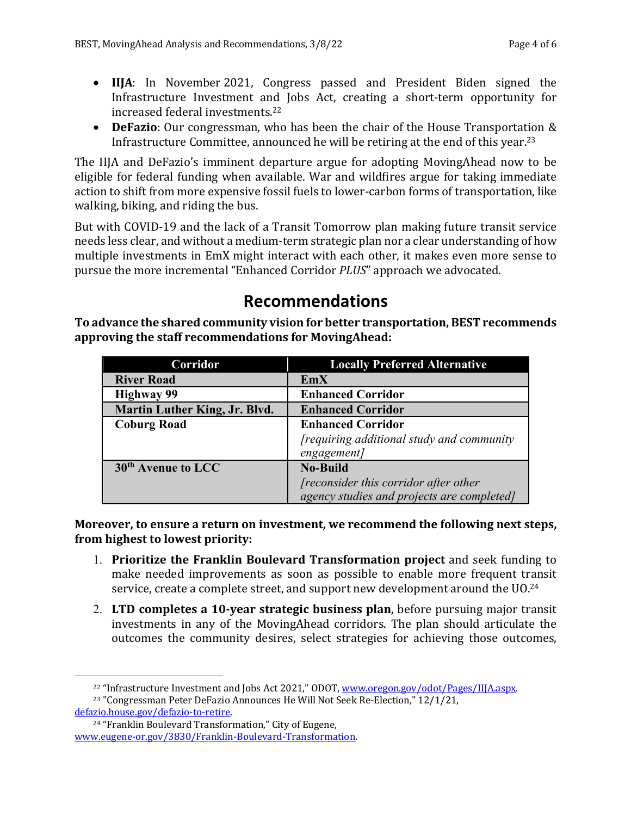- **IIJA**: In November 2021, Congress passed and President Biden signed the Infrastructure Investment and Jobs Act, creating a short-term opportunity for increased federal investments.<sup>22</sup>
- **DeFazio**: Our congressman, who has been the chair of the House Transportation & Infrastructure Committee, announced he will be retiring at the end of this year.<sup>23</sup>

The IIJA and DeFazio's imminent departure argue for adopting MovingAhead now to be eligible for federal funding when available. War and wildfires argue for taking immediate action to shift from more expensive fossil fuels to lower-carbon forms of transportation, like walking, biking, and riding the bus.

But with COVID-19 and the lack of a Transit Tomorrow plan making future transit service needs less clear, and without a medium-term strategic plan nor a clear understanding of how multiple investments in EmX might interact with each other, it makes even more sense to pursue the more incremental "Enhanced Corridor *PLUS*" approach we advocated.

# **Recommendations**

To advance the shared community vision for better transportation, BEST recommends approving the staff recommendations for MovingAhead:

| Corridor                       | <b>Locally Preferred Alternative</b>            |
|--------------------------------|-------------------------------------------------|
| <b>River Road</b>              | EmX                                             |
| <b>Highway 99</b>              | <b>Enhanced Corridor</b>                        |
| Martin Luther King, Jr. Blvd.  | <b>Enhanced Corridor</b>                        |
| <b>Coburg Road</b>             | <b>Enhanced Corridor</b>                        |
|                                | <i>requiring additional study and community</i> |
|                                | engagement]                                     |
| 30 <sup>th</sup> Avenue to LCC | <b>No-Build</b>                                 |
|                                | [reconsider this corridor after other           |
|                                | agency studies and projects are completed]      |

**Moreover, to ensure a return on investment, we recommend the following next steps,** from highest to lowest priority:

- 1. **Prioritize the Franklin Boulevard Transformation project** and seek funding to make needed improvements as soon as possible to enable more frequent transit service, create a complete street, and support new development around the UO.<sup>24</sup>
- 2. LTD completes a 10-year strategic business plan, before pursuing major transit investments in any of the MovingAhead corridors. The plan should articulate the outcomes the community desires, select strategies for achieving those outcomes,

 $^{22}$  "Infrastructure Investment and Jobs Act 2021," ODOT, www.oregon.gov/odot/Pages/IIJA.aspx.

 $23$  "Congressman Peter DeFazio Announces He Will Not Seek Re-Election,"  $12/1/21$ , defazio.house.gov/defazio-to-retire.

<sup>&</sup>lt;sup>24</sup> "Franklin Boulevard Transformation," City of Eugene, www.eugene-or.gov/3830/Franklin-Boulevard-Transformation.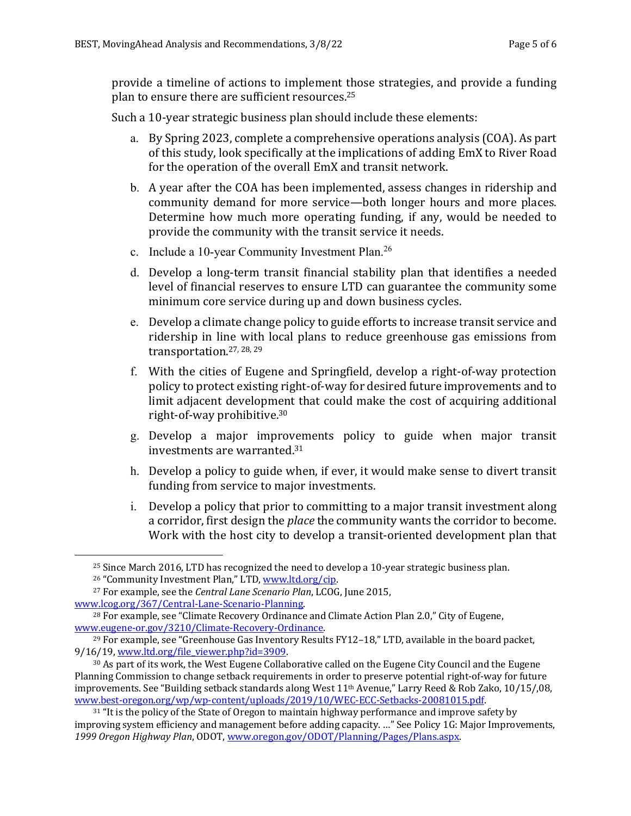provide a timeline of actions to implement those strategies, and provide a funding plan to ensure there are sufficient resources. $25$ 

Such a 10-year strategic business plan should include these elements:

- a. By Spring 2023, complete a comprehensive operations analysis (COA). As part of this study, look specifically at the implications of adding EmX to River Road for the operation of the overall EmX and transit network.
- b. A year after the COA has been implemented, assess changes in ridership and community demand for more service—both longer hours and more places. Determine how much more operating funding, if any, would be needed to provide the community with the transit service it needs.
- c. Include a 10-year Community Investment Plan.26
- d. Develop a long-term transit financial stability plan that identifies a needed level of financial reserves to ensure LTD can guarantee the community some minimum core service during up and down business cycles.
- e. Develop a climate change policy to guide efforts to increase transit service and ridership in line with local plans to reduce greenhouse gas emissions from transportation.<sup>27, 28, 29</sup>
- f. With the cities of Eugene and Springfield, develop a right-of-way protection policy to protect existing right-of-way for desired future improvements and to limit adjacent development that could make the cost of acquiring additional right-of-way prohibitive.<sup>30</sup>
- g. Develop a major improvements policy to guide when major transit investments are warranted. $31$
- h. Develop a policy to guide when, if ever, it would make sense to divert transit funding from service to major investments.
- i. Develop a policy that prior to committing to a major transit investment along a corridor, first design the *place* the community wants the corridor to become. Work with the host city to develop a transit-oriented development plan that

 $25$  Since March 2016, LTD has recognized the need to develop a 10-year strategic business plan.

<sup>&</sup>lt;sup>26</sup> "Community Investment Plan," LTD, www.ltd.org/cip.

<sup>&</sup>lt;sup>27</sup> For example, see the *Central Lane Scenario Plan*, LCOG, June 2015, www.lcog.org/367/Central-Lane-Scenario-Planning.

 $28$  For example, see "Climate Recovery Ordinance and Climate Action Plan 2.0," City of Eugene, www.eugene-or.gov/3210/Climate-Recovery-Ordinance.

<sup>&</sup>lt;sup>29</sup> For example, see "Greenhouse Gas Inventory Results FY12-18," LTD, available in the board packet, 9/16/19, www.ltd.org/file\_viewer.php?id=3909.

 $30$  As part of its work, the West Eugene Collaborative called on the Eugene City Council and the Eugene Planning Commission to change setback requirements in order to preserve potential right-of-way for future improvements. See "Building setback standards along West  $11<sup>th</sup>$  Avenue," Larry Reed & Rob Zako, 10/15/,08, www.best-oregon.org/wp/wp-content/uploads/2019/10/WEC-ECC-Setbacks-20081015.pdf.

 $31$  "It is the policy of the State of Oregon to maintain highway performance and improve safety by improving system efficiency and management before adding capacity. ..." See Policy 1G: Major Improvements, 1999 Oregon Highway Plan, ODOT, www.oregon.gov/ODOT/Planning/Pages/Plans.aspx.